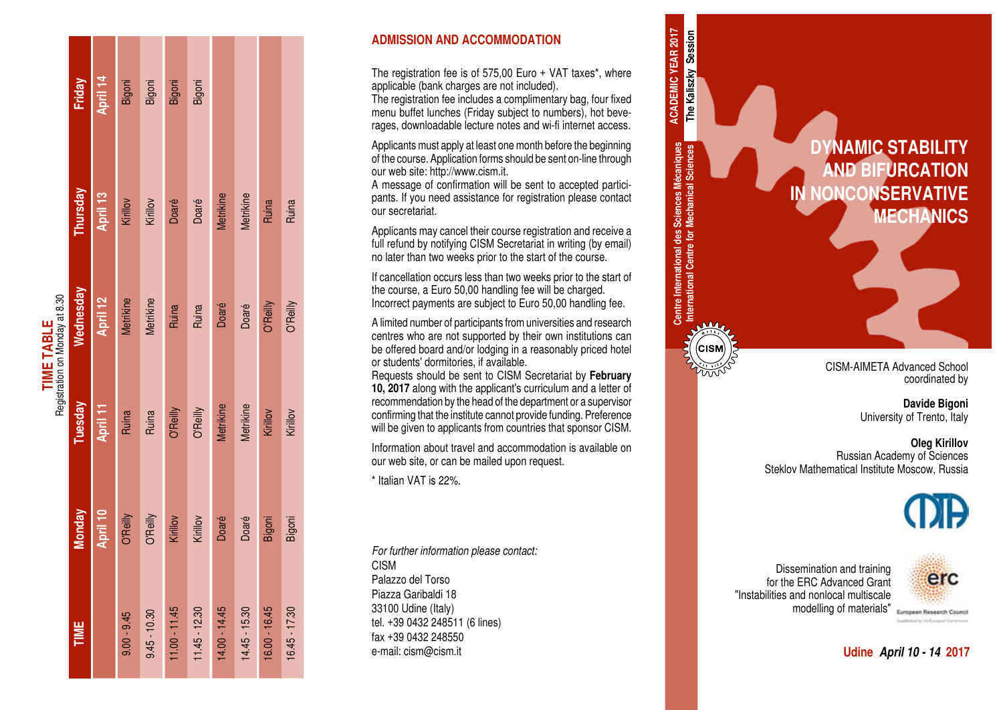L.

#### **ADMISSION AND ACCOMMODATION**

The registration fee is of 575,00 Euro + VAT taxes\*, where applicable (bank charges are not included).

The registration fee includes a complimentary bag, four fixed menu buffet lunches (Friday subject to numbers), hot beve rages, downloadable lecture notes and wi-fi internet access.

Applicants must apply at least one month before the beginning of the course. Application forms should be sent on-line through our web site: http://www.cism.it.

A message of confirmation will be sent to accepted partici pants. If you need assistance for registration please contact our secretariat.

Applicants may cancel their course registration and receive a full refund by notifying CISM Secretariat in writing (by email) no later than two weeks prior to the start of the course.

**Centre International des Sciences Mécaniques International Centre for Mechanical Sciences**

Centre International des Sciences Mécaniques<br>International Centre for Mechanical Sciences

(CISN

The Kaliszky Session **ACADEMIC YEAR 2017 ACADEMIC YEAR 2017 The Kaliszky Session**

If cancellation occurs less than two weeks prior to the start of the course, a Euro 50,00 handling fee will be charged. Incorrect payments are subject to Euro 50,00 handling fee.

A limited number of participants from universities and research centres who are not supported by their own institutions can be offered board and/or lodging in a reasonably priced hotel or students' dormitories, if available.

Requests should be sent to CISM Secretariat by **February 10, 2017** along with the applicant's curriculum and a letter of recommendation by the head of the department or a supervisor confirming that the institute cannot provide funding. Preference will be given to applicants from countries that sponsor CISM.

Information about travel and accommodation is available on our web site, or can be mailed upon request.

\* Italian VAT is 22%.

*For further information please contact:* CISM Palazzo del Torso Piazza Garibaldi 18 33100 Udine (Italy) tel. +39 0432 248511 (6 lines) fax +39 0432 248550 e-mail: cism@cism.it **Udine** *April 10 - 14* **2017**

**DYNAMIC STABILITY AND BIFURCATION IN NONCONSERVATIVE MECHANICS**

> CISM-AIMETA Advanced School coordinated by

> > **Davide Bigoni** University of Trento, Italy

**Oleg Kirillov** Russian Academy of Sciences Steklov Mathematical Institute Moscow, Russia



Dissemination and training for the ERC Advanced Grant "Instabilities and nonlocal multiscale modelling of materials"